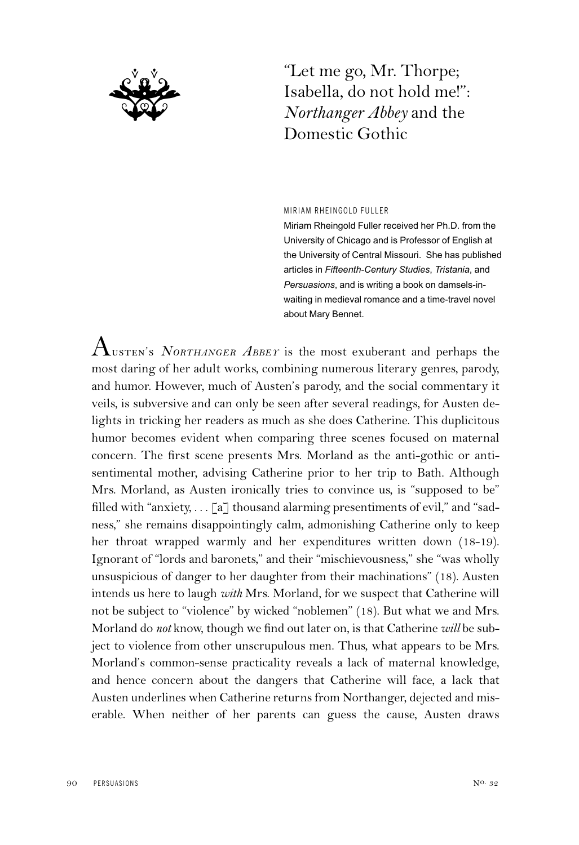

"Let me go, Mr. Thorpe; Isabella, do not hold me!": *Northanger Abbey* and the Domestic Gothic

## MIRIAM RHEINGOLD FULLER

Miriam Rheingold Fuller received her Ph.D. from the University of Chicago and is Professor of English at the University of Central Missouri. She has published articles in *Fifteenth-Century Studies*, *Tristania*, and *Persuasions*, and is writing a book on damsels-inwaiting in medieval romance and a time-travel novel about Mary Bennet.

 ${\rm A}_{\rm{\tiny{USTEN}}}$ 's  ${\rm \it{NoRTHANGER}}$   ${\rm \it ABBET}$  is the most exuberant and perhaps the most daring of her adult works, combining numerous literary genres, parody, and humor. However, much of Austen's parody, and the social commentary it veils, is subversive and can only be seen after several readings, for Austen delights in tricking her readers as much as she does Catherine. This duplicitous humor becomes evident when comparing three scenes focused on maternal concern. The first scene presents Mrs. Morland as the anti-gothic or antisentimental mother, advising Catherine prior to her trip to Bath. Although Mrs. Morland, as Austen ironically tries to convince us, is "supposed to be" filled with "anxiety, . . . [a] thousand alarming presentiments of evil," and "sadness," she remains disappointingly calm, admonishing Catherine only to keep her throat wrapped warmly and her expenditures written down (18-19). Ignorant of "lords and baronets," and their "mischievousness," she "was wholly unsuspicious of danger to her daughter from their machinations" (18). Austen intends us here to laugh *with* Mrs. Morland, for we suspect that Catherine will not be subject to "violence" by wicked "noblemen" (18). But what we and Mrs. Morland do *not* know, though we find out later on, is that Catherine *will* be subject to violence from other unscrupulous men. Thus, what appears to be Mrs. Morland's common-sense practicality reveals a lack of maternal knowledge, and hence concern about the dangers that Catherine will face, a lack that Austen underlines when Catherine returns from Northanger, dejected and miserable. When neither of her parents can guess the cause, Austen draws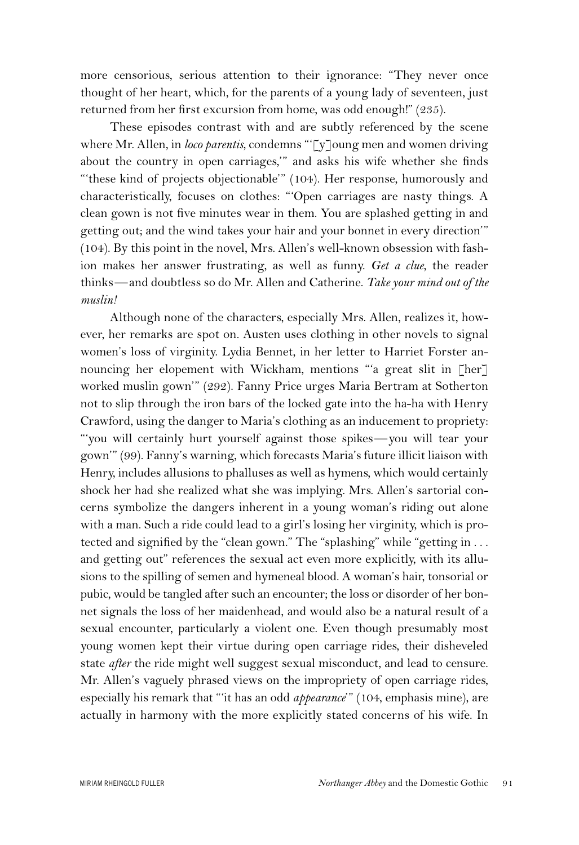more censorious, serious attention to their ignorance: "They never once thought of her heart, which, for the parents of a young lady of seventeen, just returned from her first excursion from home, was odd enough!" (235).

These episodes contrast with and are subtly referenced by the scene where Mr. Allen, in *loco parentis*, condemns "'[y]oung men and women driving about the country in open carriages,'" and asks his wife whether she finds "'these kind of projects objectionable'" (104). Her response, humorously and characteristically, focuses on clothes: "'Open carriages are nasty things. A clean gown is not five minutes wear in them. You are splashed getting in and getting out; and the wind takes your hair and your bonnet in every direction'" (104). By this point in the novel, Mrs. Allen's well-known obsession with fashion makes her answer frustrating, as well as funny. *Get a clue*, the reader thinks—and doubtless so do Mr. Allen and Catherine. *Take your mind out of the muslin!*

Although none of the characters, especially Mrs. Allen, realizes it, however, her remarks are spot on. Austen uses clothing in other novels to signal women's loss of virginity. Lydia Bennet, in her letter to Harriet Forster announcing her elopement with Wickham, mentions "'a great slit in [her] worked muslin gown'" (292). Fanny Price urges Maria Bertram at Sotherton not to slip through the iron bars of the locked gate into the ha-ha with Henry Crawford, using the danger to Maria's clothing as an inducement to propriety: "'you will certainly hurt yourself against those spikes—you will tear your gown'" (99). Fanny's warning, which forecasts Maria's future illicit liaison with Henry, includes allusions to phalluses as well as hymens, which would certainly shock her had she realized what she was implying. Mrs. Allen's sartorial concerns symbolize the dangers inherent in a young woman's riding out alone with a man. Such a ride could lead to a girl's losing her virginity, which is protected and signified by the "clean gown." The "splashing" while "getting in ... and getting out" references the sexual act even more explicitly, with its allusions to the spilling of semen and hymeneal blood. A woman's hair, tonsorial or pubic, would be tangled after such an encounter; the loss or disorder of her bonnet signals the loss of her maidenhead, and would also be a natural result of a sexual encounter, particularly a violent one. Even though presumably most young women kept their virtue during open carriage rides, their disheveled state *after* the ride might well suggest sexual misconduct, and lead to censure. Mr. Allen's vaguely phrased views on the impropriety of open carriage rides, especially his remark that "'it has an odd *appearance*'" (104, emphasis mine), are actually in harmony with the more explicitly stated concerns of his wife. In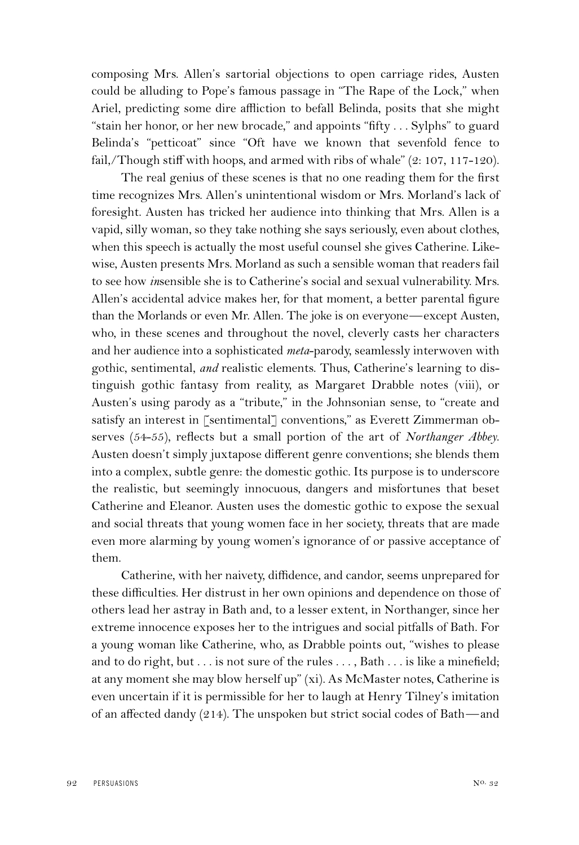composing Mrs. Allen's sartorial objections to open carriage rides, Austen could be alluding to Pope's famous passage in "The Rape of the Lock," when Ariel, predicting some dire affliction to befall Belinda, posits that she might "stain her honor, or her new brocade," and appoints "fifty . . . Sylphs" to guard Belinda's "petticoat" since "Oft have we known that sevenfold fence to fail,/Though stiff with hoops, and armed with ribs of whale" (2: 107, 117-120).

The real genius of these scenes is that no one reading them for the first time recognizes Mrs. Allen's unintentional wisdom or Mrs. Morland's lack of foresight. Austen has tricked her audience into thinking that Mrs. Allen is a vapid, silly woman, so they take nothing she says seriously, even about clothes, when this speech is actually the most useful counsel she gives Catherine. Likewise, Austen presents Mrs. Morland as such a sensible woman that readers fail to see how *in*sensible she is to Catherine's social and sexual vulnerability. Mrs. Allen's accidental advice makes her, for that moment, a better parental figure than the Morlands or even Mr. Allen. The joke is on everyone—except Austen, who, in these scenes and throughout the novel, cleverly casts her characters and her audience into a sophisticated *meta*-parody, seamlessly interwoven with gothic, sentimental, *and* realistic elements. Thus, Catherine's learning to distinguish gothic fantasy from reality, as Margaret Drabble notes (viii), or Austen's using parody as a "tribute," in the Johnsonian sense, to "create and satisfy an interest in [sentimental] conventions," as Everett Zimmerman observes (54-55), reflects but a small portion of the art of *Northanger Abbey*. Austen doesn't simply juxtapose different genre conventions; she blends them into a complex, subtle genre: the domestic gothic. Its purpose is to underscore the realistic, but seemingly innocuous, dangers and misfortunes that beset Catherine and Eleanor. Austen uses the domestic gothic to expose the sexual and social threats that young women face in her society, threats that are made even more alarming by young women's ignorance of or passive acceptance of them.

Catherine, with her naivety, diffidence, and candor, seems unprepared for these difficulties. Her distrust in her own opinions and dependence on those of others lead her astray in Bath and, to a lesser extent, in Northanger, since her extreme innocence exposes her to the intrigues and social pitfalls of Bath. For a young woman like Catherine, who, as Drabble points out, "wishes to please and to do right, but . . . is not sure of the rules . . . , Bath . . . is like a minefield; at any moment she may blow herself up" (xi). As McMaster notes, Catherine is even uncertain if it is permissible for her to laugh at Henry Tilney's imitation of an affected dandy (214). The unspoken but strict social codes of Bath—and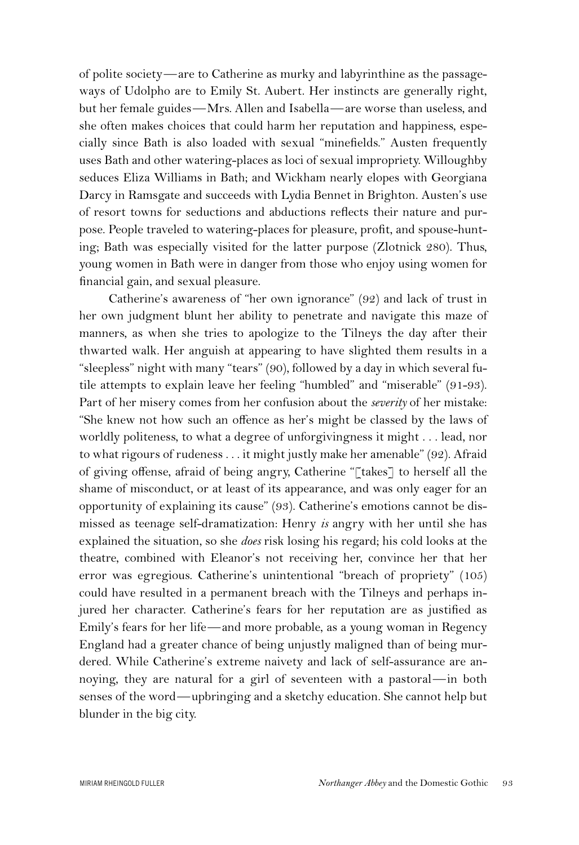of polite society—are to Catherine as murky and labyrinthine as the passageways of Udolpho are to Emily St. Aubert. Her instincts are generally right, but her female guides—Mrs. Allen and Isabella—are worse than useless, and she often makes choices that could harm her reputation and happiness, especially since Bath is also loaded with sexual "minefields." Austen frequently uses Bath and other watering-places as loci of sexual impropriety. Willoughby seduces Eliza Williams in Bath; and Wickham nearly elopes with Georgiana Darcy in Ramsgate and succeeds with Lydia Bennet in Brighton. Austen's use of resort towns for seductions and abductions reflects their nature and purpose. People traveled to watering-places for pleasure, profit, and spouse-hunting; Bath was especially visited for the latter purpose (Zlotnick 280). Thus, young women in Bath were in danger from those who enjoy using women for financial gain, and sexual pleasure.

Catherine's awareness of "her own ignorance" (92) and lack of trust in her own judgment blunt her ability to penetrate and navigate this maze of manners, as when she tries to apologize to the Tilneys the day after their thwarted walk. Her anguish at appearing to have slighted them results in a "sleepless" night with many "tears" (90), followed by a day in which several futile attempts to explain leave her feeling "humbled" and "miserable" (91-93). Part of her misery comes from her confusion about the *severity* of her mistake: "She knew not how such an offence as her's might be classed by the laws of worldly politeness, to what a degree of unforgivingness it might . . . lead, nor to what rigours of rudeness . . . it might justly make her amenable" (92). Afraid of giving offense, afraid of being angry, Catherine "[takes] to herself all the shame of misconduct, or at least of its appearance, and was only eager for an opportunity of explaining its cause" (93). Catherine's emotions cannot be dismissed as teenage self-dramatization: Henry *is* angry with her until she has explained the situation, so she *does* risk losing his regard; his cold looks at the theatre, combined with Eleanor's not receiving her, convince her that her error was egregious. Catherine's unintentional "breach of propriety" (105) could have resulted in a permanent breach with the Tilneys and perhaps injured her character. Catherine's fears for her reputation are as justified as Emily's fears for her life—and more probable, as a young woman in Regency England had a greater chance of being unjustly maligned than of being murdered. While Catherine's extreme naivety and lack of self-assurance are annoying, they are natural for a girl of seventeen with a pastoral—in both senses of the word—upbringing and a sketchy education. She cannot help but blunder in the big city.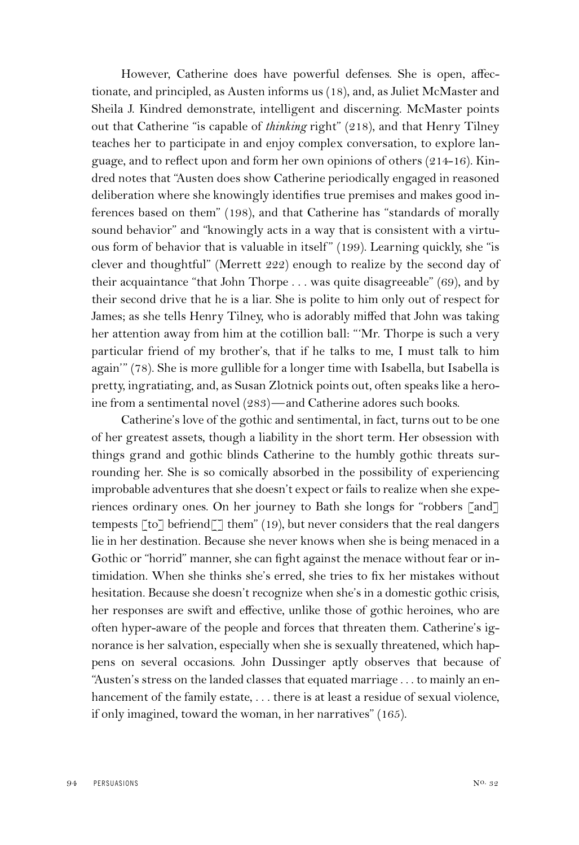However, Catherine does have powerful defenses. She is open, affectionate, and principled, as Austen informs us (18), and, as Juliet McMaster and Sheila J. Kindred demonstrate, intelligent and discerning. McMaster points out that Catherine "is capable of *thinking* right" (218), and that Henry Tilney teaches her to participate in and enjoy complex conversation, to explore language, and to reflect upon and form her own opinions of others (214-16). Kindred notes that "Austen does show Catherine periodically engaged in reasoned deliberation where she knowingly identifies true premises and makes good inferences based on them" (198), and that Catherine has "standards of morally sound behavior" and "knowingly acts in a way that is consistent with a virtuous form of behavior that is valuable in itself" (199). Learning quickly, she "is clever and thoughtful" (Merrett 222) enough to realize by the second day of their acquaintance "that John Thorpe . . . was quite disagreeable" (69), and by their second drive that he is a liar. She is polite to him only out of respect for James; as she tells Henry Tilney, who is adorably miffed that John was taking her attention away from him at the cotillion ball: "'Mr. Thorpe is such a very particular friend of my brother's, that if he talks to me, I must talk to him again'" (78). She is more gullible for a longer time with Isabella, but Isabella is pretty, ingratiating, and, as Susan Zlotnick points out, often speaks like a heroine from a sentimental novel (283)—and Catherine adores such books.

Catherine's love of the gothic and sentimental, in fact, turns out to be one of her greatest assets, though a liability in the short term. Her obsession with things grand and gothic blinds Catherine to the humbly gothic threats surrounding her. She is so comically absorbed in the possibility of experiencing improbable adventures that she doesn't expect or fails to realize when she experiences ordinary ones. On her journey to Bath she longs for "robbers [and] tempests  $\lceil \text{to} \rceil$  befriend $\lceil \rceil$  them" (19), but never considers that the real dangers lie in her destination. Because she never knows when she is being menaced in a Gothic or "horrid" manner, she can fight against the menace without fear or intimidation. When she thinks she's erred, she tries to fix her mistakes without hesitation. Because she doesn't recognize when she's in a domestic gothic crisis, her responses are swift and effective, unlike those of gothic heroines, who are often hyper-aware of the people and forces that threaten them. Catherine's ignorance is her salvation, especially when she is sexually threatened, which happens on several occasions. John Dussinger aptly observes that because of "Austen's stress on the landed classes that equated marriage . . . to mainly an enhancement of the family estate, ... there is at least a residue of sexual violence, if only imagined, toward the woman, in her narratives" (165).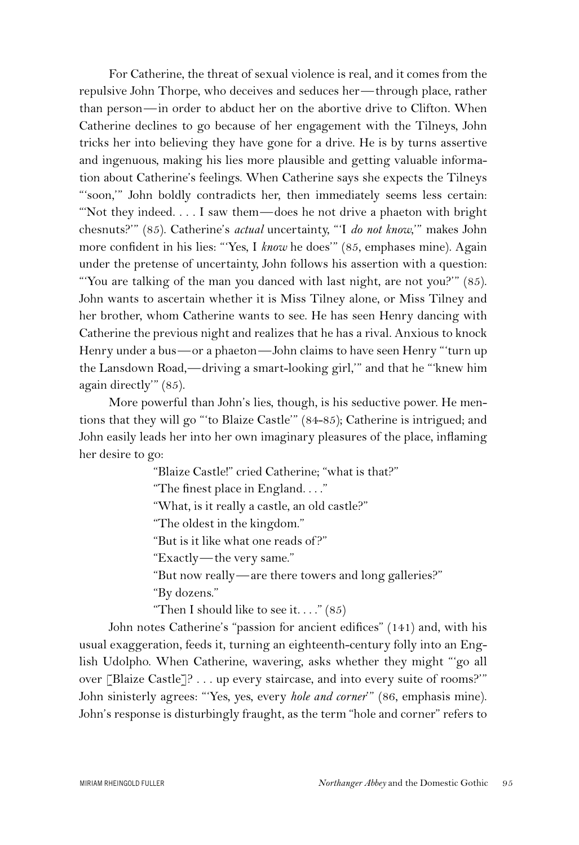For Catherine, the threat of sexual violence is real, and it comes from the repulsive John Thorpe, who deceives and seduces her—through place, rather than person—in order to abduct her on the abortive drive to Clifton. When Catherine declines to go because of her engagement with the Tilneys, John tricks her into believing they have gone for a drive. He is by turns assertive and ingenuous, making his lies more plausible and getting valuable information about Catherine's feelings. When Catherine says she expects the Tilneys "'soon,'" John boldly contradicts her, then immediately seems less certain: "'Not they indeed. . . . I saw them—does he not drive a phaeton with bright chesnuts?'" (85). Catherine's *actual* uncertainty, "'I *do not know*,'" makes John more confident in his lies: "'Yes, I *know* he does'" (85, emphases mine). Again under the pretense of uncertainty, John follows his assertion with a question: "'You are talking of the man you danced with last night, are not you?'" (85). John wants to ascertain whether it is Miss Tilney alone, or Miss Tilney and her brother, whom Catherine wants to see. He has seen Henry dancing with Catherine the previous night and realizes that he has a rival. Anxious to knock Henry under a bus—or a phaeton—John claims to have seen Henry "'turn up the Lansdown Road,—driving a smart-looking girl,'" and that he "'knew him again directly'" (85).

More powerful than John's lies, though, is his seductive power. He mentions that they will go "'to Blaize Castle'" (84-85); Catherine is intrigued; and John easily leads her into her own imaginary pleasures of the place, inflaming her desire to go:

"Blaize Castle!" cried Catherine; "what is that?"

"The finest place in England. . . ."

"What, is it really a castle, an old castle?"

"The oldest in the kingdom."

"But is it like what one reads of ?"

"Exactly—the very same."

"But now really—are there towers and long galleries?"

"By dozens."

"Then I should like to see it...."  $(85)$ 

John notes Catherine's "passion for ancient edifices" (141) and, with his usual exaggeration, feeds it, turning an eighteenth-century folly into an English Udolpho. When Catherine, wavering, asks whether they might "'go all over [Blaize Castle]? . . . up every staircase, and into every suite of rooms?'" John sinisterly agrees: "'Yes, yes, every *hole and corner*'" (86, emphasis mine). John's response is disturbingly fraught, as the term "hole and corner" refers to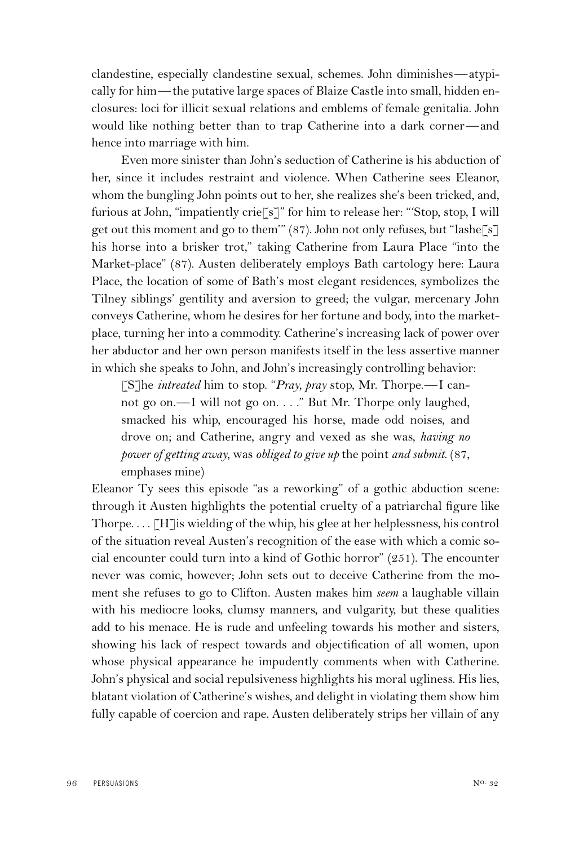clandestine, especially clandestine sexual, schemes. John diminishes—atypically for him—the putative large spaces of Blaize Castle into small, hidden enclosures: loci for illicit sexual relations and emblems of female genitalia. John would like nothing better than to trap Catherine into a dark corner—and hence into marriage with him.

Even more sinister than John's seduction of Catherine is his abduction of her, since it includes restraint and violence. When Catherine sees Eleanor, whom the bungling John points out to her, she realizes she's been tricked, and, furious at John, "impatiently crie<sup>[s]"</sup> for him to release her: "Stop, stop, I will get out this moment and go to them'" (87). John not only refuses, but "lashe[s] his horse into a brisker trot," taking Catherine from Laura Place "into the Market-place" (87). Austen deliberately employs Bath cartology here: Laura Place, the location of some of Bath's most elegant residences, symbolizes the Tilney siblings' gentility and aversion to greed; the vulgar, mercenary John conveys Catherine, whom he desires for her fortune and body, into the marketplace, turning her into a commodity. Catherine's increasing lack of power over her abductor and her own person manifests itself in the less assertive manner in which she speaks to John, and John's increasingly controlling behavior:

[S]he *intreated* him to stop. "*Pray, pray* stop, Mr. Thorpe.—I cannot go on.—I will not go on. . . ." But Mr. Thorpe only laughed, smacked his whip, encouraged his horse, made odd noises, and drove on; and Catherine, angry and vexed as she was, *having no power of getting away*, was *obliged to give up* the point *and submit*. (87, emphases mine)

Eleanor Ty sees this episode "as a reworking" of a gothic abduction scene: through it Austen highlights the potential cruelty of a patriarchal figure like Thorpe....  $\lceil H \rceil$  is wielding of the whip, his glee at her helplessness, his control of the situation reveal Austen's recognition of the ease with which a comic social encounter could turn into a kind of Gothic horror" (251). The encounter never was comic, however; John sets out to deceive Catherine from the moment she refuses to go to Clifton. Austen makes him *seem* a laughable villain with his mediocre looks, clumsy manners, and vulgarity, but these qualities add to his menace. He is rude and unfeeling towards his mother and sisters, showing his lack of respect towards and objectification of all women, upon whose physical appearance he impudently comments when with Catherine. John's physical and social repulsiveness highlights his moral ugliness. His lies, blatant violation of Catherine's wishes, and delight in violating them show him fully capable of coercion and rape. Austen deliberately strips her villain of any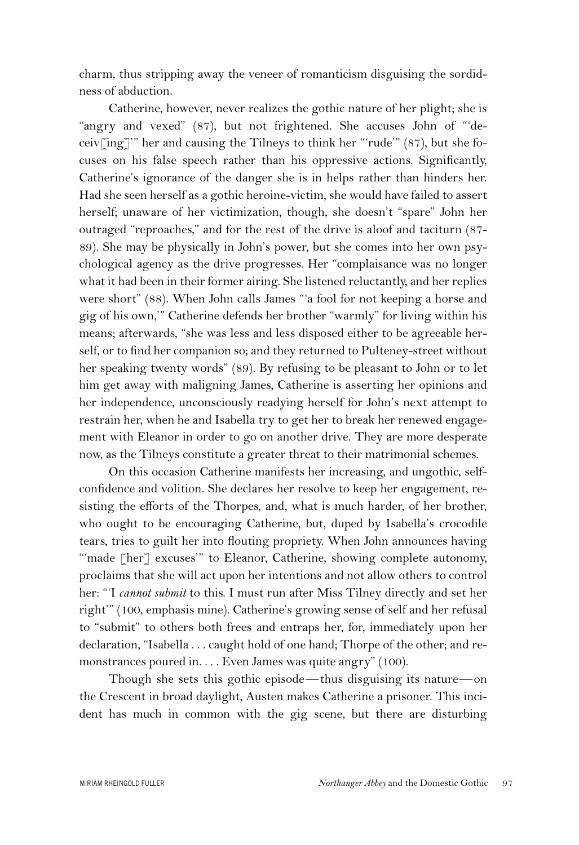charm, thus stripping away the veneer of romanticism disguising the sordidness of abduction.

Catherine, however, never realizes the gothic nature of her plight; she is "angry and vexed" (87), but not frightened. She accuses John of "'deceiv[ing]'" her and causing the Tilneys to think her "'rude'" (87), but she focuses on his false speech rather than his oppressive actions. Significantly, Catherine's ignorance of the danger she is in helps rather than hinders her. Had she seen herself as a gothic heroine-victim, she would have failed to assert herself; unaware of her victimization, though, she doesn't "spare" John her outraged "reproaches," and for the rest of the drive is aloof and taciturn (87- 89). She may be physically in John's power, but she comes into her own psychological agency as the drive progresses. Her "complaisance was no longer what it had been in their former airing. She listened reluctantly, and her replies were short" (88). When John calls James "'a fool for not keeping a horse and gig of his own,'" Catherine defends her brother "warmly" for living within his means; afterwards, "she was less and less disposed either to be agreeable herself, or to find her companion so; and they returned to Pulteney-street without her speaking twenty words" (89). By refusing to be pleasant to John or to let him get away with maligning James, Catherine is asserting her opinions and her independence, unconsciously readying herself for John's next attempt to restrain her, when he and Isabella try to get her to break her renewed engagement with Eleanor in order to go on another drive. They are more desperate now, as the Tilneys constitute a greater threat to their matrimonial schemes.

On this occasion Catherine manifests her increasing, and ungothic, selfconfidence and volition. She declares her resolve to keep her engagement, resisting the efforts of the Thorpes, and, what is much harder, of her brother, who ought to be encouraging Catherine, but, duped by Isabella's crocodile tears, tries to guilt her into flouting propriety. When John announces having "'made [her] excuses'" to Eleanor, Catherine, showing complete autonomy, proclaims that she will act upon her intentions and not allow others to control her: "'I *cannot submit* to this. I must run after Miss Tilney directly and set her right'" (100, emphasis mine). Catherine's growing sense of self and her refusal to "submit" to others both frees and entraps her, for, immediately upon her declaration, "Isabella . . . caught hold of one hand; Thorpe of the other; and remonstrances poured in. . . . Even James was quite angry" (100).

Though she sets this gothic episode—thus disguising its nature—on the Crescent in broad daylight, Austen makes Catherine a prisoner. This incident has much in common with the gig scene, but there are disturbing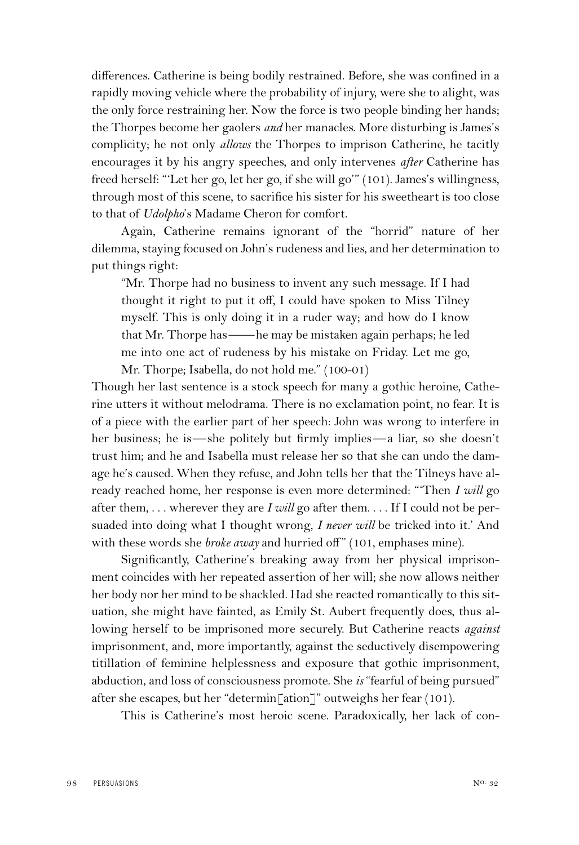differences. Catherine is being bodily restrained. Before, she was confined in a rapidly moving vehicle where the probability of injury, were she to alight, was the only force restraining her. Now the force is two people binding her hands; the Thorpes become her gaolers *and* her manacles. More disturbing is James's complicity; he not only *allows* the Thorpes to imprison Catherine, he tacitly encourages it by his angry speeches, and only intervenes *after* Catherine has freed herself: "'Let her go, let her go, if she will go'" (101). James's willingness, through most of this scene, to sacrifice his sister for his sweetheart is too close to that of *Udolpho*'s Madame Cheron for comfort.

Again, Catherine remains ignorant of the "horrid" nature of her dilemma, staying focused on John's rudeness and lies, and her determination to put things right:

"Mr. Thorpe had no business to invent any such message. If I had thought it right to put it off, I could have spoken to Miss Tilney myself. This is only doing it in a ruder way; and how do I know that Mr. Thorpe has——he may be mistaken again perhaps; he led me into one act of rudeness by his mistake on Friday. Let me go, Mr. Thorpe; Isabella, do not hold me." (100-01)

Though her last sentence is a stock speech for many a gothic heroine, Catherine utters it without melodrama. There is no exclamation point, no fear. It is of a piece with the earlier part of her speech: John was wrong to interfere in her business; he is—she politely but firmly implies—a liar, so she doesn't trust him; and he and Isabella must release her so that she can undo the damage he's caused. When they refuse, and John tells her that the Tilneys have already reached home, her response is even more determined: "'Then *I will* go after them, . . . wherever they are *I will* go after them. . . . If I could not be persuaded into doing what I thought wrong, *I never will* be tricked into it.' And with these words she *broke away* and hurried off" (101, emphases mine).

Significantly, Catherine's breaking away from her physical imprisonment coincides with her repeated assertion of her will; she now allows neither her body nor her mind to be shackled. Had she reacted romantically to this situation, she might have fainted, as Emily St. Aubert frequently does, thus allowing herself to be imprisoned more securely. But Catherine reacts *against* imprisonment, and, more importantly, against the seductively disempowering titillation of feminine helplessness and exposure that gothic imprisonment, abduction, and loss of consciousness promote. She *is* "fearful of being pursued" after she escapes, but her "determin[ation]" outweighs her fear (101).

This is Catherine's most heroic scene. Paradoxically, her lack of con-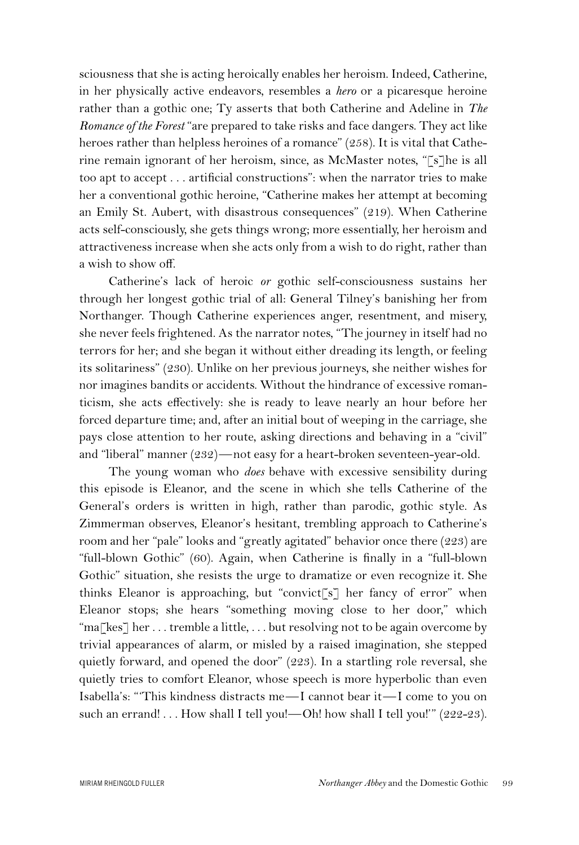sciousness that she is acting heroically enables her heroism. Indeed, Catherine, in her physically active endeavors, resembles a *hero* or a picaresque heroine rather than a gothic one; Ty asserts that both Catherine and Adeline in *The Romance of the Forest* "are prepared to take risks and face dangers. They act like heroes rather than helpless heroines of a romance" (258). It is vital that Catherine remain ignorant of her heroism, since, as McMaster notes, "[s]he is all too apt to accept . . . artificial constructions": when the narrator tries to make her a conventional gothic heroine, "Catherine makes her attempt at becoming an Emily St. Aubert, with disastrous consequences" (219). When Catherine acts self-consciously, she gets things wrong; more essentially, her heroism and attractiveness increase when she acts only from a wish to do right, rather than a wish to show off.

Catherine's lack of heroic *or* gothic self-consciousness sustains her through her longest gothic trial of all: General Tilney's banishing her from Northanger. Though Catherine experiences anger, resentment, and misery, she never feels frightened. As the narrator notes, "The journey in itself had no terrors for her; and she began it without either dreading its length, or feeling its solitariness" (230). Unlike on her previous journeys, she neither wishes for nor imagines bandits or accidents. Without the hindrance of excessive romanticism, she acts effectively: she is ready to leave nearly an hour before her forced departure time; and, after an initial bout of weeping in the carriage, she pays close attention to her route, asking directions and behaving in a "civil" and "liberal" manner (232)—not easy for a heart-broken seventeen-year-old.

The young woman who *does* behave with excessive sensibility during this episode is Eleanor, and the scene in which she tells Catherine of the General's orders is written in high, rather than parodic, gothic style. As Zimmerman observes, Eleanor's hesitant, trembling approach to Catherine's room and her "pale" looks and "greatly agitated" behavior once there (223) are "full-blown Gothic" (60). Again, when Catherine is finally in a "full-blown Gothic" situation, she resists the urge to dramatize or even recognize it. She thinks Eleanor is approaching, but "convict[s] her fancy of error" when Eleanor stops; she hears "something moving close to her door," which "ma[kes] her . . . tremble a little, . . . but resolving not to be again overcome by trivial appearances of alarm, or misled by a raised imagination, she stepped quietly forward, and opened the door" (223). In a startling role reversal, she quietly tries to comfort Eleanor, whose speech is more hyperbolic than even Isabella's: "'This kindness distracts me—I cannot bear it—I come to you on such an errand! . . . How shall I tell you!—Oh! how shall I tell you!" (222-23).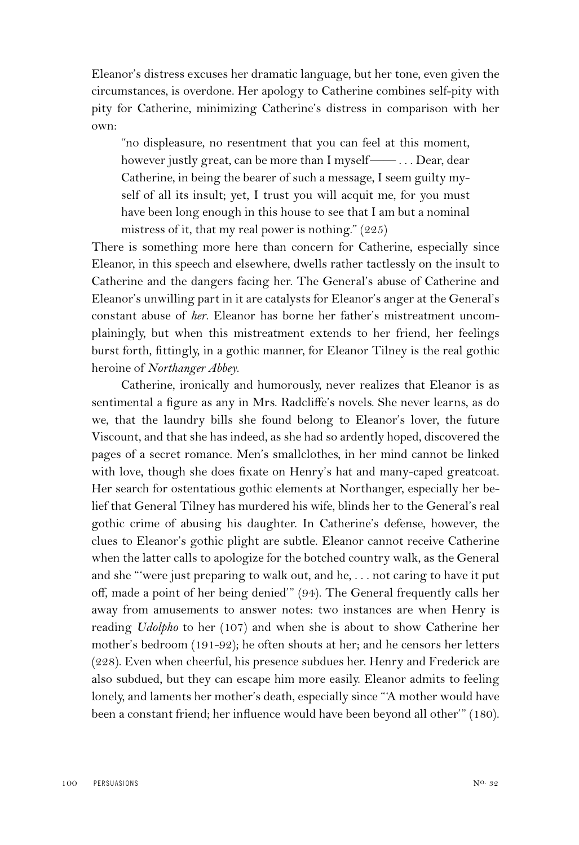Eleanor's distress excuses her dramatic language, but her tone, even given the circumstances, is overdone. Her apology to Catherine combines self-pity with pity for Catherine, minimizing Catherine's distress in comparison with her own:

"no displeasure, no resentment that you can feel at this moment, however justly great, can be more than I myself—— . . . Dear, dear Catherine, in being the bearer of such a message, I seem guilty myself of all its insult; yet, I trust you will acquit me, for you must have been long enough in this house to see that I am but a nominal mistress of it, that my real power is nothing." (225)

There is something more here than concern for Catherine, especially since Eleanor, in this speech and elsewhere, dwells rather tactlessly on the insult to Catherine and the dangers facing her. The General's abuse of Catherine and Eleanor's unwilling part in it are catalysts for Eleanor's anger at the General's constant abuse of *her*. Eleanor has borne her father's mistreatment uncomplainingly, but when this mistreatment extends to her friend, her feelings burst forth, fittingly, in a gothic manner, for Eleanor Tilney is the real gothic heroine of *Northanger Abbey*.

Catherine, ironically and humorously, never realizes that Eleanor is as sentimental a figure as any in Mrs. Radcliffe's novels. She never learns, as do we, that the laundry bills she found belong to Eleanor's lover, the future Viscount, and that she has indeed, as she had so ardently hoped, discovered the pages of a secret romance. Men's smallclothes, in her mind cannot be linked with love, though she does fixate on Henry's hat and many-caped greatcoat. Her search for ostentatious gothic elements at Northanger, especially her belief that General Tilney has murdered his wife, blinds her to the General's real gothic crime of abusing his daughter. In Catherine's defense, however, the clues to Eleanor's gothic plight are subtle. Eleanor cannot receive Catherine when the latter calls to apologize for the botched country walk, as the General and she "'were just preparing to walk out, and he, . . . not caring to have it put off, made a point of her being denied'" (94). The General frequently calls her away from amusements to answer notes: two instances are when Henry is reading *Udolpho* to her (107) and when she is about to show Catherine her mother's bedroom (191-92); he often shouts at her; and he censors her letters (228). Even when cheerful, his presence subdues her. Henry and Frederick are also subdued, but they can escape him more easily. Eleanor admits to feeling lonely, and laments her mother's death, especially since "'A mother would have been a constant friend; her influence would have been beyond all other'" (180).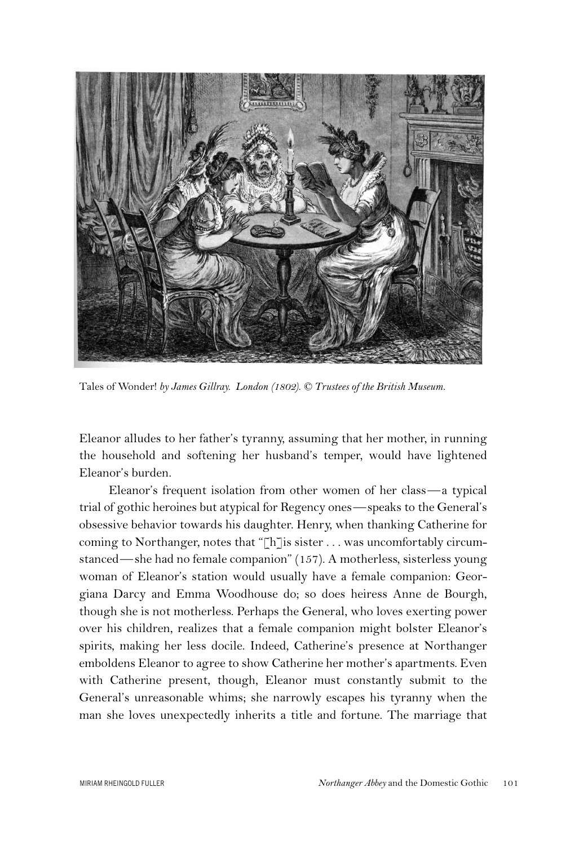

Tales of Wonder! *by James Gillray. London (1802). © Trustees of the British Museum.*

Eleanor alludes to her father's tyranny, assuming that her mother, in running the household and softening her husband's temper, would have lightened Eleanor's burden.

Eleanor's frequent isolation from other women of her class—a typical trial of gothic heroines but atypical for Regency ones—speaks to the General's obsessive behavior towards his daughter. Henry, when thanking Catherine for coming to Northanger, notes that "[h] is sister . . . was uncomfortably circumstanced—she had no female companion" (157). A motherless, sisterless young woman of Eleanor's station would usually have a female companion: Georgiana Darcy and Emma Woodhouse do; so does heiress Anne de Bourgh, though she is not motherless. Perhaps the General, who loves exerting power over his children, realizes that a female companion might bolster Eleanor's spirits, making her less docile. Indeed, Catherine's presence at Northanger emboldens Eleanor to agree to show Catherine her mother's apartments. Even with Catherine present, though, Eleanor must constantly submit to the General's unreasonable whims; she narrowly escapes his tyranny when the man she loves unexpectedly inherits a title and fortune. The marriage that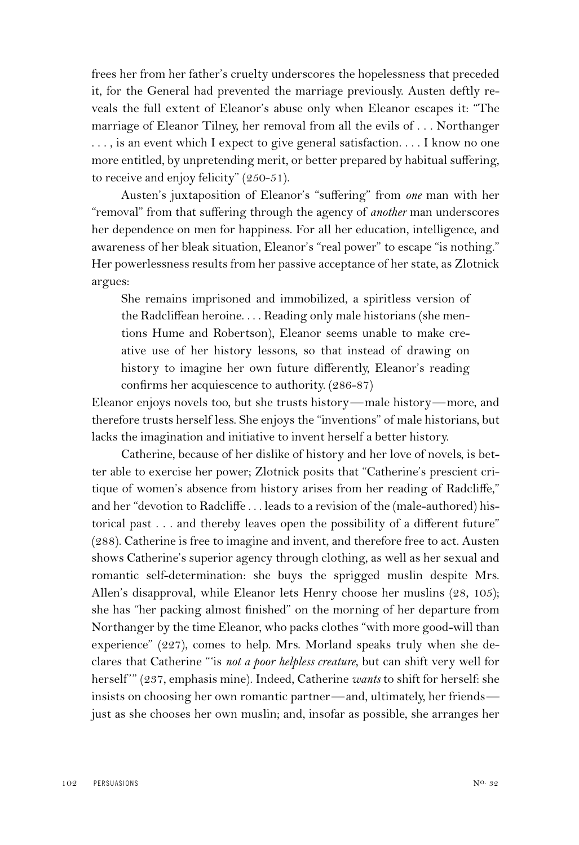frees her from her father's cruelty underscores the hopelessness that preceded it, for the General had prevented the marriage previously. Austen deftly reveals the full extent of Eleanor's abuse only when Eleanor escapes it: "The marriage of Eleanor Tilney, her removal from all the evils of . . . Northanger ... , is an event which I expect to give general satisfaction. . . . I know no one more entitled, by unpretending merit, or better prepared by habitual suffering, to receive and enjoy felicity" (250-51).

Austen's juxtaposition of Eleanor's "suffering" from *one* man with her "removal" from that suffering through the agency of *another* man underscores her dependence on men for happiness. For all her education, intelligence, and awareness of her bleak situation, Eleanor's "real power" to escape "is nothing." Her powerlessness results from her passive acceptance of her state, as Zlotnick argues:

She remains imprisoned and immobilized, a spiritless version of the Radcliffean heroine. . . . Reading only male historians (she mentions Hume and Robertson), Eleanor seems unable to make creative use of her history lessons, so that instead of drawing on history to imagine her own future differently, Eleanor's reading confirms her acquiescence to authority. (286-87)

Eleanor enjoys novels too, but she trusts history—male history—more, and therefore trusts herself less. She enjoys the "inventions" of male historians, but lacks the imagination and initiative to invent herself a better history.

Catherine, because of her dislike of history and her love of novels, is better able to exercise her power; Zlotnick posits that "Catherine's prescient critique of women's absence from history arises from her reading of Radcliffe," and her "devotion to Radcliffe . . . leads to a revision of the (male-authored) historical past . . . and thereby leaves open the possibility of a different future" (288). Catherine is free to imagine and invent, and therefore free to act. Austen shows Catherine's superior agency through clothing, as well as her sexual and romantic self-determination: she buys the sprigged muslin despite Mrs. Allen's disapproval, while Eleanor lets Henry choose her muslins (28, 105); she has "her packing almost finished" on the morning of her departure from Northanger by the time Eleanor, who packs clothes "with more good-will than experience" (227), comes to help. Mrs. Morland speaks truly when she declares that Catherine "'is *not a poor helpless creature*, but can shift very well for herself " (237, emphasis mine). Indeed, Catherine *wants* to shift for herself: she insists on choosing her own romantic partner—and, ultimately, her friends just as she chooses her own muslin; and, insofar as possible, she arranges her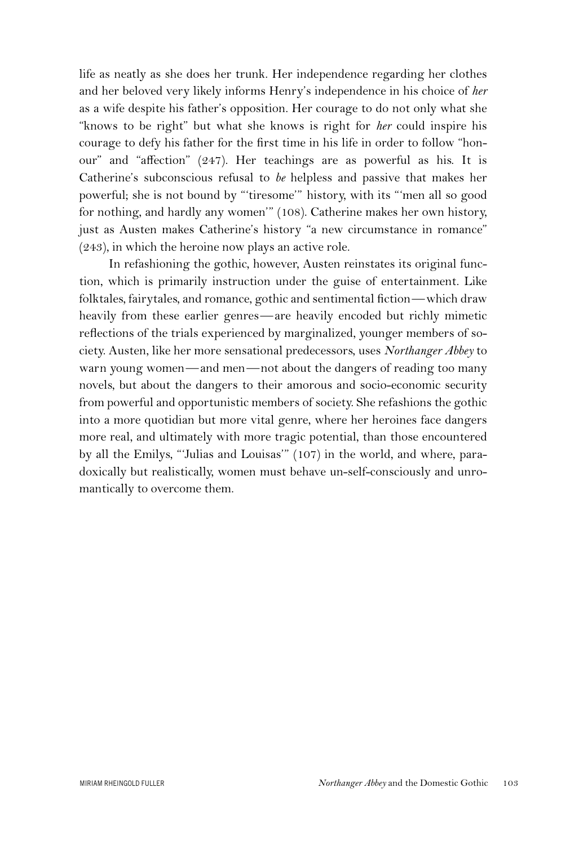life as neatly as she does her trunk. Her independence regarding her clothes and her beloved very likely informs Henry's independence in his choice of *her* as a wife despite his father's opposition. Her courage to do not only what she "knows to be right" but what she knows is right for *her* could inspire his courage to defy his father for the first time in his life in order to follow "honour" and "affection" (247). Her teachings are as powerful as his. It is Catherine's subconscious refusal to *be* helpless and passive that makes her powerful; she is not bound by "'tiresome'" history, with its "'men all so good for nothing, and hardly any women'" (108). Catherine makes her own history, just as Austen makes Catherine's history "a new circumstance in romance" (243), in which the heroine now plays an active role.

In refashioning the gothic, however, Austen reinstates its original function, which is primarily instruction under the guise of entertainment. Like folktales, fairytales, and romance, gothic and sentimental fiction—which draw heavily from these earlier genres—are heavily encoded but richly mimetic reflections of the trials experienced by marginalized, younger members of society. Austen, like her more sensational predecessors, uses *Northanger Abbey* to warn young women—and men—not about the dangers of reading too many novels, but about the dangers to their amorous and socio-economic security from powerful and opportunistic members of society. She refashions the gothic into a more quotidian but more vital genre, where her heroines face dangers more real, and ultimately with more tragic potential, than those encountered by all the Emilys, "'Julias and Louisas'" (107) in the world, and where, paradoxically but realistically, women must behave un-self-consciously and unromantically to overcome them.